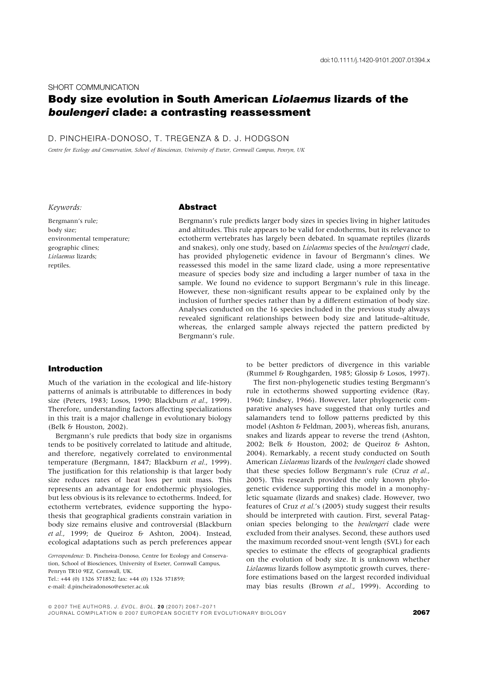#### SHORT COMMUNICATION

# Body size evolution in South American Liolaemus lizards of the boulengeri clade: a contrasting reassessment

D. PINCHEIRA-DONOSO, T. TREGENZA & D. J. HODGSON

Centre for Ecology and Conservation, School of Biosciences, University of Exeter, Cornwall Campus, Penryn, UK

Keywords:

Bergmann's rule; body size; environmental temperature; geographic clines; Liolaemus lizards; reptiles.

# Abstract

Bergmann's rule predicts larger body sizes in species living in higher latitudes and altitudes. This rule appears to be valid for endotherms, but its relevance to ectotherm vertebrates has largely been debated. In squamate reptiles (lizards and snakes), only one study, based on Liolaemus species of the boulengeri clade, has provided phylogenetic evidence in favour of Bergmann's clines. We reassessed this model in the same lizard clade, using a more representative measure of species body size and including a larger number of taxa in the sample. We found no evidence to support Bergmann's rule in this lineage. However, these non-significant results appear to be explained only by the inclusion of further species rather than by a different estimation of body size. Analyses conducted on the 16 species included in the previous study always revealed significant relationships between body size and latitude–altitude, whereas, the enlarged sample always rejected the pattern predicted by Bergmann's rule.

# Introduction

Much of the variation in the ecological and life-history patterns of animals is attributable to differences in body size (Peters, 1983; Losos, 1990; Blackburn et al., 1999). Therefore, understanding factors affecting specializations in this trait is a major challenge in evolutionary biology (Belk & Houston, 2002).

Bergmann's rule predicts that body size in organisms tends to be positively correlated to latitude and altitude, and therefore, negatively correlated to environmental temperature (Bergmann, 1847; Blackburn et al., 1999). The justification for this relationship is that larger body size reduces rates of heat loss per unit mass. This represents an advantage for endothermic physiologies, but less obvious is its relevance to ectotherms. Indeed, for ectotherm vertebrates, evidence supporting the hypothesis that geographical gradients constrain variation in body size remains elusive and controversial (Blackburn et al., 1999; de Queiroz & Ashton, 2004). Instead, ecological adaptations such as perch preferences appear

Correspondence: D. Pincheira-Donoso, Centre for Ecology and Conservation, School of Biosciences, University of Exeter, Cornwall Campus,

Penryn TR10 9EZ, Cornwall, UK.

Tel.: +44 (0) 1326 371852; fax: +44 (0) 1326 371859; e-mail: d.pincheiradonoso@exeter.ac.uk

to be better predictors of divergence in this variable (Rummel & Roughgarden, 1985; Glossip & Losos, 1997).

The first non-phylogenetic studies testing Bergmann's rule in ectotherms showed supporting evidence (Ray, 1960; Lindsey, 1966). However, later phylogenetic comparative analyses have suggested that only turtles and salamanders tend to follow patterns predicted by this model (Ashton & Feldman, 2003), whereas fish, anurans, snakes and lizards appear to reverse the trend (Ashton, 2002; Belk & Houston, 2002; de Queiroz & Ashton, 2004). Remarkably, a recent study conducted on South American Liolaemus lizards of the boulengeri clade showed that these species follow Bergmann's rule (Cruz et al., 2005). This research provided the only known phylogenetic evidence supporting this model in a monophyletic squamate (lizards and snakes) clade. However, two features of Cruz et al.'s (2005) study suggest their results should be interpreted with caution. First, several Patagonian species belonging to the boulengeri clade were excluded from their analyses. Second, these authors used the maximum recorded snout-vent length (SVL) for each species to estimate the effects of geographical gradients on the evolution of body size. It is unknown whether Liolaemus lizards follow asymptotic growth curves, therefore estimations based on the largest recorded individual may bias results (Brown et al., 1999). According to

<sup>© 2007</sup> THE AUTHORS. J. EVOL. BIOL. 20 (2007) 2067-2071 JOURNAL COMPILATION © 2007 EUROPEAN SOCIETY FOR EVOLUTIONARY BIOLOGY **2007**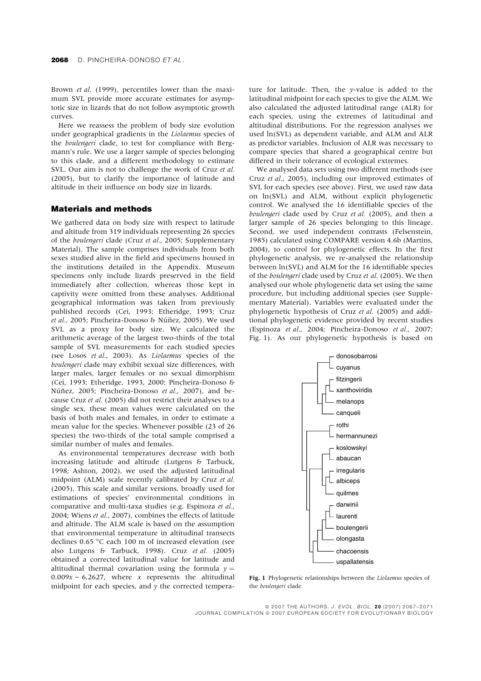Brown et al. (1999), percentiles lower than the maximum SVL provide more accurate estimates for asymptotic size in lizards that do not follow asymptotic growth curves.

Here we reassess the problem of body size evolution under geographical gradients in the Liolaemus species of the boulengeri clade, to test for compliance with Bergmann's rule. We use a larger sample of species belonging to this clade, and a different methodology to estimate SVL. Our aim is not to challenge the work of Cruz et al. (2005), but to clarify the importance of latitude and altitude in their influence on body size in lizards.

# Materials and methods

We gathered data on body size with respect to latitude and altitude from 319 individuals representing 26 species of the boulengeri clade (Cruz et al., 2005; Supplementary Material). The sample comprises individuals from both sexes studied alive in the field and specimens housed in the institutions detailed in the Appendix. Museum specimens only include lizards preserved in the field immediately after collection, whereas those kept in captivity were omitted from these analyses. Additional geographical information was taken from previously published records (Cei, 1993; Etheridge, 1993; Cruz et al., 2005; Pincheira-Donoso & Núñez, 2005). We used SVL as a proxy for body size. We calculated the arithmetic average of the largest two-thirds of the total sample of SVL measurements for each studied species (see Losos et al., 2003). As Liolaemus species of the boulengeri clade may exhibit sexual size differences, with larger males, larger females or no sexual dimorphism (Cei, 1993; Etheridge, 1993, 2000; Pincheira-Donoso & Núñez, 2005; Pincheira-Donoso et al., 2007), and because Cruz et al. (2005) did not restrict their analyses to a single sex, these mean values were calculated on the basis of both males and females, in order to estimate a mean value for the species. Whenever possible (23 of 26 species) the two-thirds of the total sample comprised a similar number of males and females.

As environmental temperatures decrease with both increasing latitude and altitude (Lutgens & Tarbuck, 1998; Ashton, 2002), we used the adjusted latitudinal midpoint (ALM) scale recently calibrated by Cruz et al. (2005). This scale and similar versions, broadly used for estimations of species' environmental conditions in comparative and multi-taxa studies (e.g. Espinoza et al., 2004; Wiens et al., 2007), combines the effects of latitude and altitude. The ALM scale is based on the assumption that environmental temperature in altitudinal transects declines 0.65 °C each 100 m of increased elevation (see also Lutgens & Tarbuck, 1998). Cruz et al. (2005) obtained a corrected latitudinal value for latitude and altitudinal thermal covariation using the formula  $y =$  $0.009x - 6.2627$ , where x represents the altitudinal midpoint for each species, and y the corrected tempera-

ture for latitude. Then, the y-value is added to the latitudinal midpoint for each species to give the ALM. We also calculated the adjusted latitudinal range (ALR) for each species, using the extremes of latitudinal and altitudinal distributions. For the regression analyses we used ln(SVL) as dependent variable, and ALM and ALR as predictor variables. Inclusion of ALR was necessary to compare species that shared a geographical centre but differed in their tolerance of ecological extremes.

We analysed data sets using two different methods (see Cruz et al., 2005), including our improved estimates of SVL for each species (see above). First, we used raw data on ln(SVL) and ALM, without explicit phylogenetic control. We analysed the 16 identifiable species of the boulengeri clade used by Cruz et al. (2005), and then a larger sample of 26 species belonging to this lineage. Second, we used independent contrasts (Felsenstein, 1985) calculated using COMPARE version 4.6b (Martins, 2004), to control for phylogenetic effects. In the first phylogenetic analysis, we re-analysed the relationship between ln(SVL) and ALM for the 16 identifiable species of the boulengeri clade used by Cruz et al. (2005). We then analysed our whole phylogenetic data set using the same procedure, but including additional species (see Supplementary Material). Variables were evaluated under the phylogenetic hypothesis of Cruz et al. (2005) and additional phylogenetic evidence provided by recent studies (Espinoza et al., 2004; Pincheira-Donoso et al., 2007; Fig. 1). As our phylogenetic hypothesis is based on



Fig. 1 Phylogenetic relationships between the Liolaemus species of the boulengeri clade.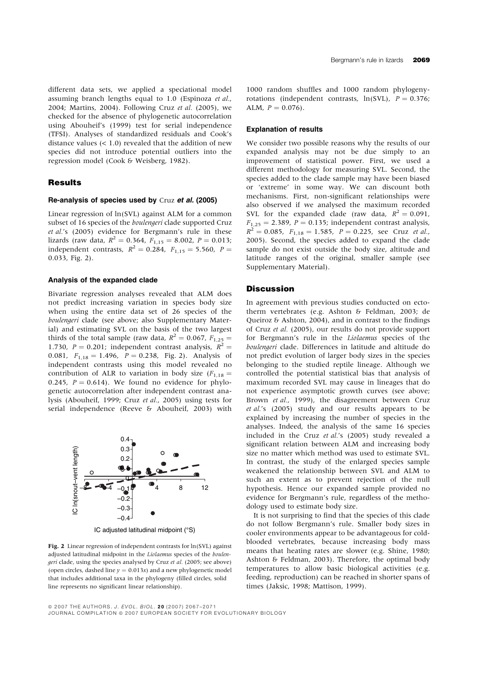different data sets, we applied a speciational model assuming branch lengths equal to 1.0 (Espinoza et al., 2004; Martins, 2004). Following Cruz et al. (2005), we checked for the absence of phylogenetic autocorrelation using Abouheif's (1999) test for serial independence (TFSI). Analyses of standardized residuals and Cook's distance values  $(< 1.0$ ) revealed that the addition of new species did not introduce potential outliers into the regression model (Cook & Weisberg, 1982).

## Results

#### Re-analysis of species used by Cruz et al. (2005)

Linear regression of ln(SVL) against ALM for a common subset of 16 species of the boulengeri clade supported Cruz et al.'s (2005) evidence for Bergmann's rule in these lizards (raw data,  $R^2 = 0.364$ ,  $F_{1,15} = 8.002$ ,  $P = 0.013$ ; independent contrasts,  $R^2 = 0.284$ ,  $F_{1,15} = 5.560$ ,  $P =$ 0.033, Fig. 2).

#### Analysis of the expanded clade

Bivariate regression analyses revealed that ALM does not predict increasing variation in species body size when using the entire data set of 26 species of the boulengeri clade (see above; also Supplementary Material) and estimating SVL on the basis of the two largest thirds of the total sample (raw data,  $R^2 = 0.067$ ,  $F_{1,25} =$ 1.730,  $P = 0.201$ ; independent contrast analysis,  $R^2 =$ 0.081,  $F_{1,18} = 1.496$ ,  $P = 0.238$ , Fig. 2). Analysis of independent contrasts using this model revealed no contribution of ALR to variation in body size  $(F_{1,18} =$ 0.245,  $P = 0.614$ ). We found no evidence for phylogenetic autocorrelation after independent contrast analysis (Abouheif, 1999; Cruz et al., 2005) using tests for serial independence (Reeve & Abouheif, 2003) with



IC adjusted latitudinal midpoint (°S)

Fig. 2 Linear regression of independent contrasts for ln(SVL) against adjusted latitudinal midpoint in the Liolaemus species of the boulengeri clade, using the species analysed by Cruz et al. (2005; see above) (open circles, dashed line  $y = 0.013x$ ) and a new phylogenetic model that includes additional taxa in the phylogeny (filled circles, solid line represents no significant linear relationship).

1000 random shuffles and 1000 random phylogenyrotations (independent contrasts,  $ln(SVL)$ ,  $P = 0.376$ ; ALM,  $P = 0.076$ .

#### Explanation of results

We consider two possible reasons why the results of our expanded analysis may not be due simply to an improvement of statistical power. First, we used a different methodology for measuring SVL. Second, the species added to the clade sample may have been biased or 'extreme' in some way. We can discount both mechanisms. First, non-significant relationships were also observed if we analysed the maximum recorded SVL for the expanded clade (raw data,  $R^2 = 0.091$ ,  $F_{1,25} = 2.389$ ,  $P = 0.135$ ; independent contrast analysis,  $R^2 = 0.085$ ,  $F_{1,18} = 1.585$ ,  $P = 0.225$ , see Cruz et al., 2005). Second, the species added to expand the clade sample do not exist outside the body size, altitude and latitude ranges of the original, smaller sample (see Supplementary Material).

#### **Discussion**

In agreement with previous studies conducted on ectotherm vertebrates (e.g. Ashton & Feldman, 2003; de Queiroz & Ashton, 2004), and in contrast to the findings of Cruz et al. (2005), our results do not provide support for Bergmann's rule in the Liolaemus species of the boulengeri clade. Differences in latitude and altitude do not predict evolution of larger body sizes in the species belonging to the studied reptile lineage. Although we controlled the potential statistical bias that analysis of maximum recorded SVL may cause in lineages that do not experience asymptotic growth curves (see above; Brown et al., 1999), the disagreement between Cruz et al.'s (2005) study and our results appears to be explained by increasing the number of species in the analyses. Indeed, the analysis of the same 16 species included in the Cruz et al.'s (2005) study revealed a significant relation between ALM and increasing body size no matter which method was used to estimate SVL. In contrast, the study of the enlarged species sample weakened the relationship between SVL and ALM to such an extent as to prevent rejection of the null hypothesis. Hence our expanded sample provided no evidence for Bergmann's rule, regardless of the methodology used to estimate body size.

It is not surprising to find that the species of this clade do not follow Bergmann's rule. Smaller body sizes in cooler environments appear to be advantageous for coldblooded vertebrates, because increasing body mass means that heating rates are slower (e.g. Shine, 1980; Ashton & Feldman, 2003). Therefore, the optimal body temperatures to allow basic biological activities (e.g. feeding, reproduction) can be reached in shorter spans of times (Jaksic, 1998; Mattison, 1999).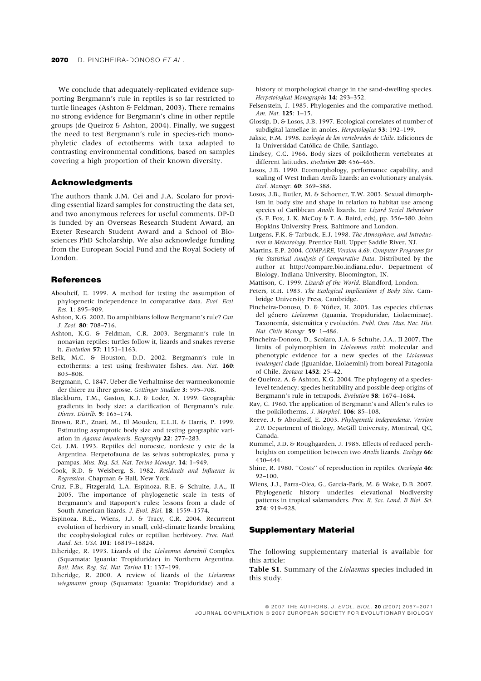We conclude that adequately-replicated evidence supporting Bergmann's rule in reptiles is so far restricted to turtle lineages (Ashton & Feldman, 2003). There remains no strong evidence for Bergmann's cline in other reptile groups (de Queiroz & Ashton, 2004). Finally, we suggest the need to test Bergmann's rule in species-rich monophyletic clades of ectotherms with taxa adapted to contrasting environmental conditions, based on samples covering a high proportion of their known diversity.

# Acknowledgments

The authors thank J.M. Cei and J.A. Scolaro for providing essential lizard samples for constructing the data set, and two anonymous referees for useful comments. DP-D is funded by an Overseas Research Student Award, an Exeter Research Student Award and a School of Biosciences PhD Scholarship. We also acknowledge funding from the European Social Fund and the Royal Society of London.

### **References**

- Abouheif, E. 1999. A method for testing the assumption of phylogenetic independence in comparative data. Evol. Ecol. Res. 1: 895–909.
- Ashton, K.G. 2002. Do amphibians follow Bergmann's rule? Can.
- J. Zool. 80: 708–716. Ashton, K.G. & Feldman, C.R. 2003. Bergmann's rule in nonavian reptiles: turtles follow it, lizards and snakes reverse it. Evolution 57: 1151–1163.
- Belk, M.C. & Houston, D.D. 2002. Bergmann's rule in ectotherms: a test using freshwater fishes. Am. Nat. 160: 803–808.
- Bergmann, C. 1847. Ueber die Verhaltnisse der warmeokonomie der thiere zu ihrer grosse. Gottinger Studien 3: 595–708.
- Blackburn, T.M., Gaston, K.J. & Loder, N. 1999. Geographic gradients in body size: a clarification of Bergmann's rule. Divers. Distrib. 5: 165–174.
- Brown, R.P., Znari, M., El Mouden, E.L.H. & Harris, P. 1999. Estimating asymptotic body size and testing geographic variation in Agama impalearis. Ecography 22: 277–283.
- Cei, J.M. 1993. Reptiles del noroeste, nordeste y este de la Argentina. Herpetofauna de las selvas subtropicales, puna y pampas. Mus. Reg. Sci. Nat. Torino Monogr. 14: 1–949.
- Cook, R.D. & Weisberg, S. 1982. Residuals and Influence in Regression. Chapman & Hall, New York.
- Cruz, F.B., Fitzgerald, L.A. Espinoza, R.E. & Schulte, J.A., II 2005. The importance of phylogenetic scale in tests of Bergmann's and Rapoport's rules: lessons from a clade of South American lizards. J. Evol. Biol. 18: 1559–1574.
- Espinoza, R.E., Wiens, J.J. & Tracy, C.R. 2004. Recurrent evolution of herbivory in small, cold-climate lizards: breaking the ecophysiological rules or reptilian herbivory. Proc. Natl. Acad. Sci. USA 101: 16819–16824.
- Etheridge, R. 1993. Lizards of the Liolaemus darwinii Complex (Squamata: Iguania: Tropiduridae) in Northern Argentina. Boll. Mus. Reg. Sci. Nat. Torino 11: 137–199.
- Etheridge, R. 2000. A review of lizards of the Liolaemus wiegmanni group (Squamata: Iguania: Tropiduridae) and a

history of morphological change in the sand-dwelling species. Herpetological Monographs 14: 293–352.

- Felsenstein, J. 1985. Phylogenies and the comparative method. Am. Nat. 125: 1-15.
- Glossip, D. & Losos, J.B. 1997. Ecological correlates of number of subdigital lamellae in anoles. Herpetologica 53: 192–199.
- Jaksic, F.M. 1998. Ecología de los vertebrados de Chile. Ediciones de la Universidad Católica de Chile, Santiago.
- Lindsey, C.C. 1966. Body sizes of poikilotherm vertebrates at different latitudes. Evolution 20: 456-465.
- Losos, J.B. 1990. Ecomorphology, performance capability, and scaling of West Indian Anolis lizards: an evolutionary analysis. Ecol. Monogr. 60: 369–388.
- Losos, J.B., Butler, M. & Schoener, T.W. 2003. Sexual dimorphism in body size and shape in relation to habitat use among species of Caribbean Anolis lizards. In: Lizard Social Behaviour (S. F. Fox, J. K. McCoy & T. A. Baird, eds), pp. 356–380. John Hopkins University Press, Baltimore and London.
- Lutgens, F.K. & Tarbuck, E.J. 1998. The Atmosphere, and Introduction to Meteorology. Prentice Hall, Upper Saddle River, NJ.
- Martins, E.P. 2004. COMPARE, Version 4.6b. Computer Programs for the Statistical Analysis of Comparative Data. Distributed by the author at http://compare.bio.indiana.edu/. Department of Biology, Indiana University, Bloomington, IN.
- Mattison, C. 1999. Lizards of the World. Blandford, London.
- Peters, R.H. 1983. The Ecological Implications of Body Size. Cambridge University Press, Cambridge.
- Pincheira-Donoso, D. & Núñez, H. 2005. Las especies chilenas del género Liolaemus (Iguania, Tropiduridae, Liolaeminae). Taxonomía, sistemática y evolución. Publ. Ocas. Mus. Nac. Hist. Nat. Chile Monogr. 59: 1–486.
- Pincheira-Donoso, D., Scolaro, J.A. & Schulte, J.A., II 2007. The limits of polymorphism in Liolaemus rothi: molecular and phenotypic evidence for a new species of the Liolaemus boulengeri clade (Iguanidae, Liolaemini) from boreal Patagonia of Chile. Zootaxa 1452: 25–42.
- de Queiroz, A. & Ashton, K.G. 2004. The phylogeny of a specieslevel tendency: species heritability and possible deep origins of Bergmann's rule in tetrapods. Evolution 58: 1674–1684.
- Ray, C. 1960. The application of Bergmann's and Allen's rules to the poikilotherms. J. Morphol. 106: 85-108.
- Reeve, J. & Abouheif, E. 2003. Phylogenetic Independence, Version 2.0. Department of Biology, McGill University, Montreal, QC, Canada.
- Rummel, J.D. & Roughgarden, J. 1985. Effects of reduced perchheights on competition between two Anolis lizards. Ecology 66: 430–444.
- Shine, R. 1980. "Costs" of reproduction in reptiles. Oecologia 46: 92–100.
- Wiens, J.J., Parra-Olea, G., García-París, M. & Wake, D.B. 2007. Phylogenetic history underlies elevational biodiversity patterns in tropical salamanders. Proc. R. Soc. Lond. B Biol. Sci. 274: 919–928.

## Supplementary Material

The following supplementary material is available for this article:

Table S1. Summary of the Liolaemus species included in this study.